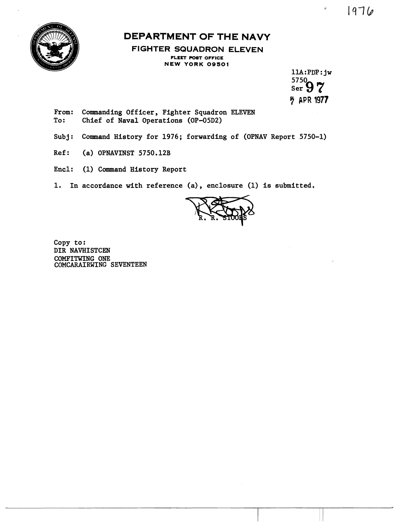



## **DEPARTMENT OF THE NAVY**

**FIGHTER SQUADRON ELEVEN FLEET POST OFFICE NEW YORK 09501** 

> **11A:PDP:jw**<br>5750<br>Ser 97 **ラ APR 1977**

 $\hat{\theta}$ 

- From: Commanding Officer, Fighter Squadron ELEVEN<br>To: Chief of Naval Operations (OP-05D2) Chief of Naval Operations (OP-05D2)
- **Subj: Comand History for 1976; forwarding of (OPNAV Report 5750-1)**
- **Ref: (a) OPNAVINST 5750.12B**
- Encl: (1) Command History Report
- **1. In accordance with reference (a), enclosure (1) is submitted.**



**Copy to** : **DIR NAVHISTCEN COMFITWING ONE COMCARAIRWING SEVENTEEN**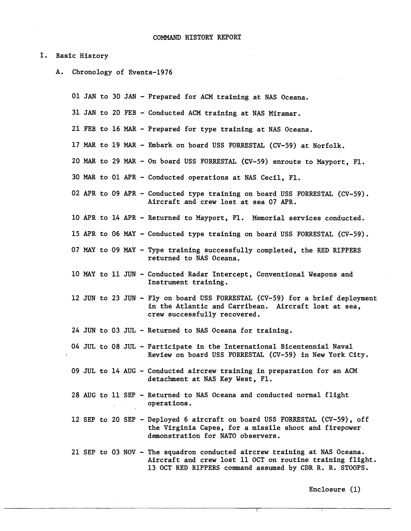## I. Basic History

A. Chronology of Events-1976

01 JAN to 30 JAN - Prepared for ACM training at NAS Oceana.

31 JAN to 20 FEB - Conducted ACM. training at NAS Miramar.

21 FEB to 16 MAR - Prepared for type training at NAS Oceana.

- 17 MAR to 19 MAR Embark on board USS FORRESTAL (CV-59) at Norfolk.
- 20 MAR to 29 MAR On board USS FORRESTAL (CV-59) enroute to Mayport, F1.
- 30 MAR to 01 APR Conducted operations at NAS Cecil, F1.
- 02 APR to 09 APR Conducted type training on board USS FORRESTAL (CV-59). Aircraft and crew lost at sea 07 APR.
- 10 APR to 14 APR Returned to Mayport, F1. Memorial services conducted.
- 15 APR to 06 **MAY**  Conducted type training on board USS FORRESTAL (CV-59).
- <sup>07</sup>**MAY** to 09 MAY Type training successfully completed, the RED RIPPERS returned to NAS Oceana.
- 10 MAY to 11 JUN Conducted Radar Intercept, Conventional Weapons and Instrument training.
- 12 JUN to 23 JUN Fly on board USS FORRESTAL (CV-59) for a brief deployment in the Atlantic and Carribean. Aircraft lost at sea, crew successfully recovered.
- 24 JUN to 03 JUL Returned to NAS Oceana for training.
- 04 JUL to 08 JUL Participate in the International Bicentennial Naval Review on board USS FORRESTAL (CV-59) in New York City.
- 09 JUL to 14 AUG Conducted aircrew training in preparation for an ACM detachment at NAS Key West, F1.
- 28 AUG to 11 SEP Returned to NAS Oceana and conducted normal flight operations.
- 12 SEP to 20 SEP Deployed 6 aircraft on board USS FORRESTAL (CV-59), off the Virginia Capes, for a missile shoot and firepower demonstration for NATO observers.
- 21 SEP to 03 NOV The squadron conducted aircrew training at NAS Oceana. Aircraft and crew lost 11 OCT on routine training flight. 13 OCT RED RIPPERS command assumed by CDR R. R. STOOPS.

Enclosure **(1)**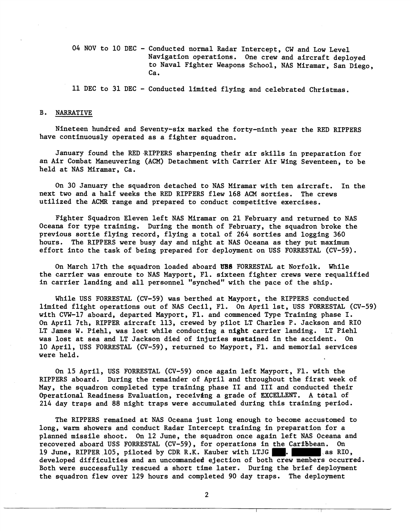04 NOV to 10 DEC - Conducted normal Radar Intercept, CW and Low Level Navigation operations. One crew and aircraft deployed to Naval Fighter Weapons School, NAS Miramar, San Diego, Ca.

11 DEC to 31 DEC - Conducted limited flying and celebrated Christmas.

## B. NARRATIVE

Nineteen hundred and Seventy-six marked the forty-ninth year the RED RIPPERS have continuously operated as a fighter squadron.

January found the RED.RIPPERS sharpening their air skills in preparation for an Air Combat Maneuvering (ACM) Detachment with Carrier Air Wing Seventeen, to be held at NAS Miramar, Ca.

On 30 January the squadron detached to NAS Miramar with ten aircraft. In the next two and a half weeks the RED RIPPERS flew 168 ACM sorties. The crews utilized the ACMR range and prepared to conduct competitive exercises.

Fighter Squadron Eleven left NAS Miramar on 21 February and returned to NAS Oceana for type training. During the month of February, the squadron broke the previous sortie flying record, flying a total of 264 sorties and logging 360 hours. The RIPPERS were busy day and night at NAS Oceana as they put maximum effort into the task of being prepared for deployment on USS FORRESTAL (CV-59).

On March 17th the squadron loaded aboard UBS FORRESTAL at Norfolk. While the carrier was enroute to NAS Mayport, F1. sixteen fighter crews were requalified in carrier landing and all personnel "synched" with the pace of the ship.

While USS FORRESTAL (CV-59) was berthed at Mayport, the RIPPERS conducted limited flight operations out of NAS Cecil, F1. On April lst, USS FORRESTAL (CV-59) with CVW-17 aboard, departed Mayport, F1. and commenced Type Training phase I. On April 7th, RIPPER aircraft 113, crewed by pilot LT Charles P. Jackson and RIO LT James W. Piehl, was lost while conducting a night carrier landing. LT Piehl was lost at sea and LT Jackson died of injuries sustained in the accident. On 10 April, USS FORRESTAL (CV-59), returned to Mayport, F1. and memorial services were held.

On 15 April, USS FORRESTAL (CV-59) once again left Mayport, F1. with the RIPPERS aboard. During the remainder of April and throughout the first week of May, the squadron completed type training phase I1 and I11 and conducted their Operational Readiness Evaluation, receiving a grade of **EXCELLENT**. A total of 214 day traps and 88 night traps were accumulated during this training period.

The RIPPERS remained at NAS Oceana just long enough to become accustomed to long, warm showers and conduct Radar Intercept training in preparation for a planned missile shoot. On 12 June, the squadron once again left NAS Oceana and recovered aboard USS FORRESTAL (CV-59), for operations in the Cartlibean. On 19 June, RIPPER 105, piloted by CDR R.K. Kauber with LTJG as RIO, developed difficulties and an uncommanded ejection of both crew members occurred. Both were successfully rescued a short time later. During the brief deployment the squadron flew over 129 hours and completed 90 day traps. The deployment

 $\overline{2}$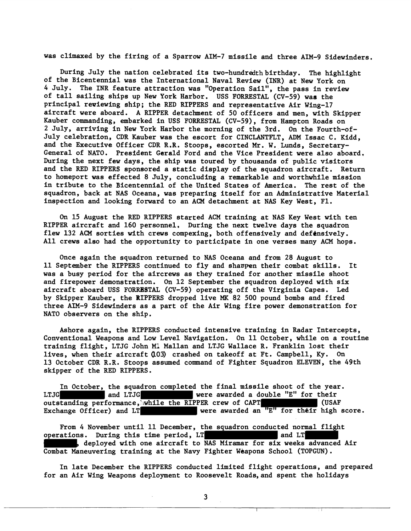was climaxed by the firing of a Sparrow AIM-7 missile and three AIM-9 Sidewinders.

During July the nation celebrated its two-hundredth birthday. The highlight of the Bicentennial was the Tnternational Naval Review (INR) at New York on 4 July. The INR feature attraction was "Operation Sail", the pass in review of tall sailing ships up New York Harbor. USS FORRESTAL (CV-59) was the principal reviewing ship; the RED RTPPERS and representative Air Wing-17 aircraft were aboard. A RIPPER detachment of 50 officers and men, with Skipper Kauber commanding, embarked in USS FORRESTAL (CV-59), from Hampton Roads on 2 July, arriving in New York Harbor the morning of the 3rd. On the Fourth-of-July celebratfon, CDR Kauber was the escort for CINCLANTFLT, ADM Issac C, Kidd, and the Executfve Officer CDR R.R. Stoops, escorted Mr. W. Lunds, Secretary-General of NATO. Presfdent Gerald Ford and the Vice President were also aboard, During the next few days, the ship was toured by thousands of public visitors and the RED RIPPERS sponsored a static display of the squadron aircraft. Return to homeport was effected 8 July, concluding a remarkable and worthwhile mission in tribute to the Bicentennial of the United States of America. The rest of the squadron, back at NAS Oceana, was preparing itself for an Administrative Material inspection and looking forward to an ACM detachment at NAS Key West, F1.

**On** 15 August the RED RIPPERS starred ACM training at NAS Key West with ten RIPPER aircraft and 160 personnel. During the next twelve days the squadron flew 132 ACM sorties with crews compexing, both offensively and defensively. All crews also had the opportunity to participate in one verses many ACM hops.

Once again the squadron returned to NAS Oceana and from 28 August to 11 September the RIPPERS continued to fly and shaspen their combat skills. It was a busy period for the aircrews as they trained for another missile shoot and firepower demonstration. On 12 September the squadron deployed with six aircraft aboard USS FORRBSTAL (CV-59) operating off the Virginia Capes. Led by Skipper Kauber, the RTPPERS dropped live **MK** 82 500 pound bombs and fired three AIM-9 Sidewinders as a part of the Air Wing fire power demonstration for NATO observers on the ship.

Ashore again, the RIPPERS conducted intensive training in Radar Intercepts, Conventional Weapons and Low Level Navigation. On 11 October, while on a routine training flight, LTJG John MI Mallan and LTJG Wallace R. Franklin lost their lives, when their aircraft (103) crashed on takeoff at Ft. Campbell, Ky. On 13 October CDR R.R. Stoops assumed command of Fighter Squadron ELEVEN, the 49th skipper of the RED RIPPERS.

In October, the squadron completed the final missile shoot of the year. LTJG and LTJG were awarded a double "E" for their outstanding performance, while the RIPPER crew of CAPT  $(USAF)$ Exchange Officer) and LT were awarded an  $"E"$  for their high score.

From 4 November until 11 December, the squadron conducted normal flight ations. During this time period, LT operations. During this time period, LT , deployed with one aircraft to NAS Miramar for six weeks advanced Air Combat Maneuvering training at the Navy Fighter Weapons School (TOPGUN).

In late December the RIPPERS conducted limited flight operations, and prepared for an Air Wing Weapons deployment to Roosevelt Roads,and spent the holidays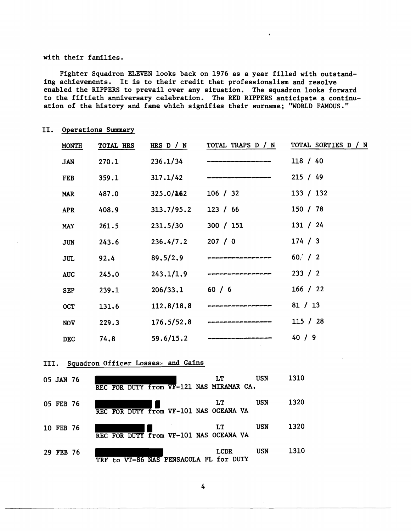## with their families.

Fighter Squadron ELEVEN looks back on 1976 as a year filled with outstanding achievements. It is to their credit that professionalism and resolve enabled the RIPPERS to prevail over any situation. The squadron looks forward to the fiftieth anniversary celebration. The RED RIPPERS anticipate a continuation of the history and fame which signifies their surname; "WORLD FAMOUS."

| operations summery |           |                                          |                           |                                                 |  |  |
|--------------------|-----------|------------------------------------------|---------------------------|-------------------------------------------------|--|--|
| <b>MONTH</b>       | TOTAL HRS |                                          |                           | HRS D / N TOTAL TRAPS D / N TOTAL SORTIES D / N |  |  |
| <b>JAN</b>         | 270.1     | 236.1/34                                 |                           | 118 / 40                                        |  |  |
| <b>FEB</b>         | 359.1     | 317.1/42                                 |                           | 215 / 49                                        |  |  |
| <b>MAR</b>         | 487.0     | 325.0/162                                | 106 / 32                  | 133 / 132                                       |  |  |
| <b>APR</b>         | 408.9     | 313.7/95.2                               | 123 / 66                  | 150 / 78                                        |  |  |
| <b>MAY</b>         | 261.5     | 231.5/30                                 | 300 / 151                 | 131 / 24                                        |  |  |
| <b>JUN</b>         | 243.6     | 236.4/7.2                                | 207/0                     | 174 / 3                                         |  |  |
| <b>JUL</b>         | 92.4      | 89,5/2.9                                 |                           | 60/ / 2                                         |  |  |
| <b>AUG</b>         | 245.0     | 243.1/1.9                                |                           | 233 / 2                                         |  |  |
| <b>SEP</b>         | 239.1     | 206/33.1                                 | 60 / 6                    | 166 / 22                                        |  |  |
| <b>OCT</b>         | 131.6     | 112.8/18.8                               |                           | 81 / 13                                         |  |  |
| <b>NOV</b>         | 229.3     | 176.5/52.8                               |                           | 115 / 28                                        |  |  |
| <b>DEC</b>         | 74.8      | 59.6/15.2                                |                           | 40/9                                            |  |  |
|                    |           | III. Squadron Officer Lossess and Gains  |                           |                                                 |  |  |
| <b>05 JAN 76</b>   |           | REC FOR DUTY from VF-121 NAS MIRAMAR CA. | <b>USN</b><br>LT          | 1310                                            |  |  |
| 05 FEB 76          |           | REC FOR DUTY from VF-101 NAS OCEANA VA   | USN<br>LT.                | 1320                                            |  |  |
| 10 FEB 76          |           | REC FOR DUTY From VF-101 NAS OCEANA VA   | <b>USN</b><br><b>LT</b>   | 1320                                            |  |  |
| 29 FEB 76          |           | TRF to VT-86 NAS PENSACOLA FL for DUTY   | <b>USN</b><br><b>LCDR</b> | 1310                                            |  |  |

11. Operations Summary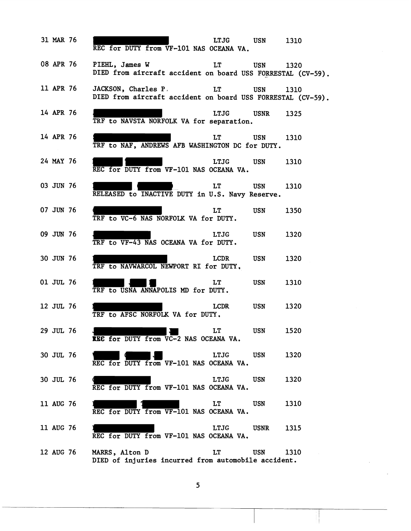| 31 MAR 76 |           | REC for DUTY from VF-101 NAS OCEANA VA.                                           | LTJG USN                                                                                                      |                       | 1310 |
|-----------|-----------|-----------------------------------------------------------------------------------|---------------------------------------------------------------------------------------------------------------|-----------------------|------|
| 08 APR 76 |           | PIEHL, James W<br>DIED from aircraft accident on board USS FORRESTAL (CV-59)      | LT                                                                                                            | <b>Example 19 USN</b> | 1320 |
|           | 11 APR 76 | JACKSON, Charles P.<br>DIED from aircraft accident on board USS FORRESTAL (CV-59) | LT                                                                                                            | <b>USN</b>            | 1310 |
| 14 APR 76 |           | TRF to NAVSTA NORFOLK VA for separation.                                          | LTJG                                                                                                          | USNR                  | 1325 |
| 14 APR 76 |           | TRF to NAF, ANDREWS AFB WASHINGTON DC for DUTY.                                   | LT and the set of the set of the set of the set of the set of the set of the set of the set of the set of the | USN 1310              |      |
| 24 MAY 76 |           | REC for DUTY from VF-101 NAS OCEANA VA.                                           | LTJG                                                                                                          | USN                   | 1310 |
| 03 JUN 76 |           | RELEASED to INACTIVE DUTY in U.S. Navy Reserve.                                   | <b>LT</b>                                                                                                     | USN 1310              |      |
| 07 JUN 76 |           | TRF to VC-6 NAS NORFOLK VA for DUTY.                                              | LT.                                                                                                           | <b>USN</b>            | 1350 |
| 09 JUN 76 |           | TRF to VF-43 NAS OCEANA VA for DUTY.                                              | LTJG                                                                                                          | USN                   | 1320 |
| 30 JUN 76 |           | TRF to NAVWARCOL NEWPORT RI for DUTY.                                             | LCDR                                                                                                          | <b>USN</b>            | 1320 |
| 01 JUL 76 |           | TRF to USNA ANNAPOLIS MD for DUTY.                                                | LT –                                                                                                          | <b>USN</b>            | 1310 |
| 12 JUL 76 |           | TRF to AFSC NORFOLK VA for DUTY.                                                  | LCDR                                                                                                          | <b>USN</b>            | 1320 |
| 29 JUL 76 |           | REE for DUTY from VC-2 NAS OCEANA VA.                                             | <b>LT</b>                                                                                                     | <b>USN</b>            | 1520 |
| 30 JUL 76 |           | REC for DUTY from VF-101 NAS OCEANA VA.                                           | LTJG                                                                                                          | USN                   | 1320 |
| 30 JUL 76 |           | REC for DUTY from VF-101 NAS OCEANA VA.                                           | LTJG                                                                                                          | USN                   | 1320 |
| 11 AUG 76 |           | REC for DUTY from VF-101 NAS OCEANA VA.                                           | LT.                                                                                                           | USN                   | 1310 |
| 11 AUG 76 |           | REC for DUTY from VF-101 NAS OCEANA VA.                                           | LTJG                                                                                                          | USNR                  | 1315 |
| 12 AUG 76 |           | MARRS, Alton D<br>DIED of injuries incurred from automobile accident.             | LT                                                                                                            | USN                   | 1310 |

 $\overline{\mathbf{5}}$ 

$$
f_{\rm{max}}
$$